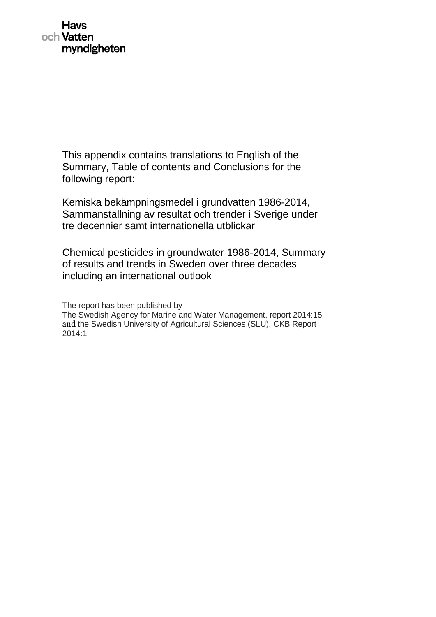This appendix contains translations to English of the Summary, Table of contents and Conclusions for the following report:

Kemiska bekämpningsmedel i grundvatten 1986-2014, Sammanställning av resultat och trender i Sverige under tre decennier samt internationella utblickar

Chemical pesticides in groundwater 1986-2014, Summary of results and trends in Sweden over three decades including an international outlook

The report has been published by The Swedish Agency for Marine and Water Management, report 2014:15 and the Swedish University of Agricultural Sciences (SLU), CKB Report 2014:1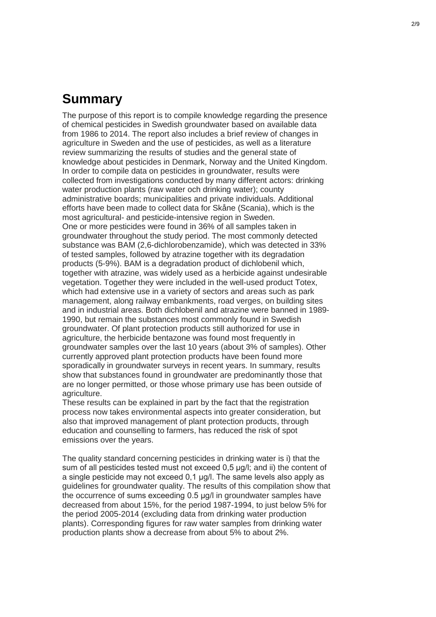## **Summary**

The purpose of this report is to compile knowledge regarding the presence of chemical pesticides in Swedish groundwater based on available data from 1986 to 2014. The report also includes a brief review of changes in agriculture in Sweden and the use of pesticides, as well as a literature review summarizing the results of studies and the general state of knowledge about pesticides in Denmark, Norway and the United Kingdom. In order to compile data on pesticides in groundwater, results were collected from investigations conducted by many different actors: drinking water production plants (raw water och drinking water); county administrative boards; municipalities and private individuals. Additional efforts have been made to collect data for Skåne (Scania), which is the most agricultural- and pesticide-intensive region in Sweden. One or more pesticides were found in 36% of all samples taken in groundwater throughout the study period. The most commonly detected substance was BAM (2,6-dichlorobenzamide), which was detected in 33% of tested samples, followed by atrazine together with its degradation products (5-9%). BAM is a degradation product of dichlobenil which, together with atrazine, was widely used as a herbicide against undesirable vegetation. Together they were included in the well-used product Totex, which had extensive use in a variety of sectors and areas such as park management, along railway embankments, road verges, on building sites and in industrial areas. Both dichlobenil and atrazine were banned in 1989- 1990, but remain the substances most commonly found in Swedish groundwater. Of plant protection products still authorized for use in agriculture, the herbicide bentazone was found most frequently in groundwater samples over the last 10 years (about 3% of samples). Other currently approved plant protection products have been found more sporadically in groundwater surveys in recent years. In summary, results show that substances found in groundwater are predominantly those that are no longer permitted, or those whose primary use has been outside of agriculture.

These results can be explained in part by the fact that the registration process now takes environmental aspects into greater consideration, but also that improved management of plant protection products, through education and counselling to farmers, has reduced the risk of spot emissions over the years.

The quality standard concerning pesticides in drinking water is i) that the sum of all pesticides tested must not exceed 0,5 μg/l; and ii) the content of a single pesticide may not exceed 0,1 μg/l. The same levels also apply as guidelines for groundwater quality. The results of this compilation show that the occurrence of sums exceeding 0.5 μg/l in groundwater samples have decreased from about 15%, for the period 1987-1994, to just below 5% for the period 2005-2014 (excluding data from drinking water production plants). Corresponding figures for raw water samples from drinking water production plants show a decrease from about 5% to about 2%.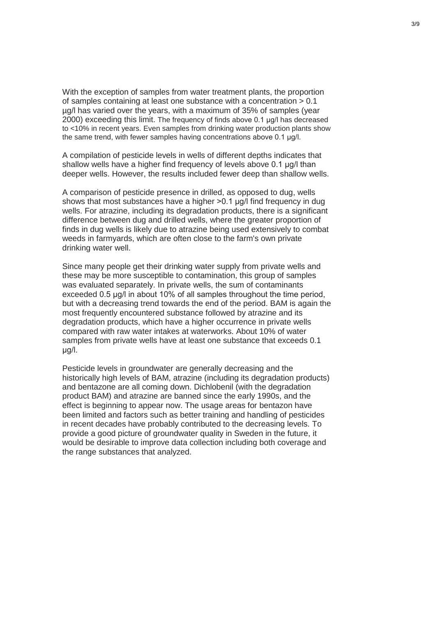With the exception of samples from water treatment plants, the proportion of samples containing at least one substance with a concentration  $> 0.1$ µg/l has varied over the years, with a maximum of 35% of samples (year 2000) exceeding this limit. The frequency of finds above 0.1 μg/l has decreased to <10% in recent years. Even samples from drinking water production plants show the same trend, with fewer samples having concentrations above 0.1 μg/l.

A compilation of pesticide levels in wells of different depths indicates that shallow wells have a higher find frequency of levels above 0.1 ug/l than deeper wells. However, the results included fewer deep than shallow wells.

A comparison of pesticide presence in drilled, as opposed to dug, wells shows that most substances have a higher  $>0.1$  ug/l find frequency in dug wells. For atrazine, including its degradation products, there is a significant difference between dug and drilled wells, where the greater proportion of finds in dug wells is likely due to atrazine being used extensively to combat weeds in farmyards, which are often close to the farm's own private drinking water well.

Since many people get their drinking water supply from private wells and these may be more susceptible to contamination, this group of samples was evaluated separately. In private wells, the sum of contaminants exceeded 0.5 ug/l in about 10% of all samples throughout the time period. but with a decreasing trend towards the end of the period. BAM is again the most frequently encountered substance followed by atrazine and its degradation products, which have a higher occurrence in private wells compared with raw water intakes at waterworks. About 10% of water samples from private wells have at least one substance that exceeds 0.1 μg/l.

Pesticide levels in groundwater are generally decreasing and the historically high levels of BAM, atrazine (including its degradation products) and bentazone are all coming down. Dichlobenil (with the degradation product BAM) and atrazine are banned since the early 1990s, and the effect is beginning to appear now. The usage areas for bentazon have been limited and factors such as better training and handling of pesticides in recent decades have probably contributed to the decreasing levels. To provide a good picture of groundwater quality in Sweden in the future, it would be desirable to improve data collection including both coverage and the range substances that analyzed.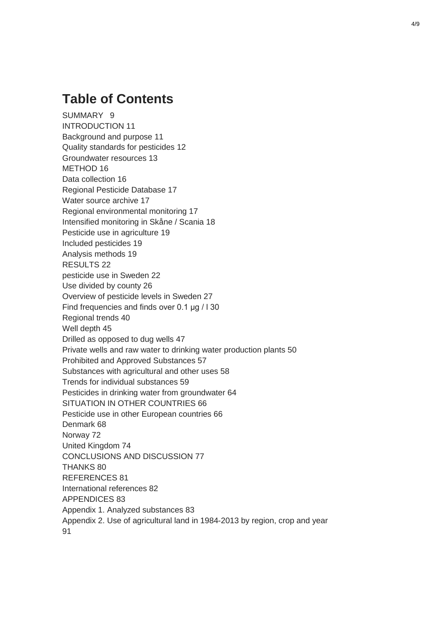## **Table of Contents**

SUMMARY 9 INTRODUCTION 11 Background and purpose 11 Quality standards for pesticides 12 Groundwater resources 13 METHOD 16 Data collection 16 Regional Pesticide Database 17 Water source archive 17 Regional environmental monitoring 17 Intensified monitoring in Skåne / Scania 18 Pesticide use in agriculture 19 Included pesticides 19 Analysis methods 19 RESULTS 22 pesticide use in Sweden 22 Use divided by county 26 Overview of pesticide levels in Sweden 27 Find frequencies and finds over 0.1 μg / l 30 Regional trends 40 Well depth 45 Drilled as opposed to dug wells 47 Private wells and raw water to drinking water production plants 50 Prohibited and Approved Substances 57 Substances with agricultural and other uses 58 Trends for individual substances 59 Pesticides in drinking water from groundwater 64 SITUATION IN OTHER COUNTRIES 66 Pesticide use in other European countries 66 Denmark 68 Norway 72 United Kingdom 74 CONCLUSIONS AND DISCUSSION 77 THANKS 80 REFERENCES 81 International references 82 APPENDICES 83 Appendix 1. Analyzed substances 83 Appendix 2. Use of agricultural land in 1984-2013 by region, crop and year 91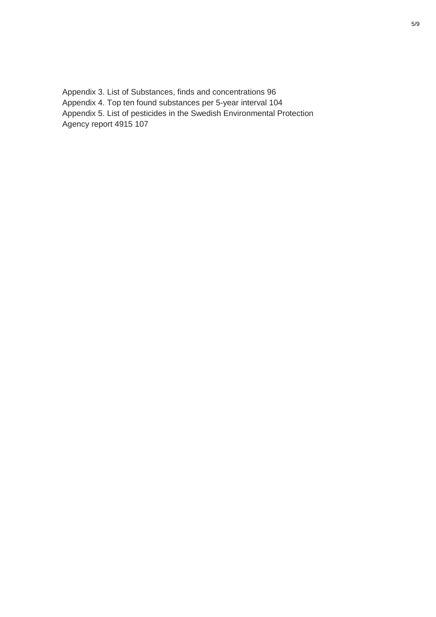Appendix 3. List of Substances, finds and concentrations 96 Appendix 4. Top ten found substances per 5-year interval 104 Appendix 5. List of pesticides in the Swedish Environmental Protection Agency report 4915 107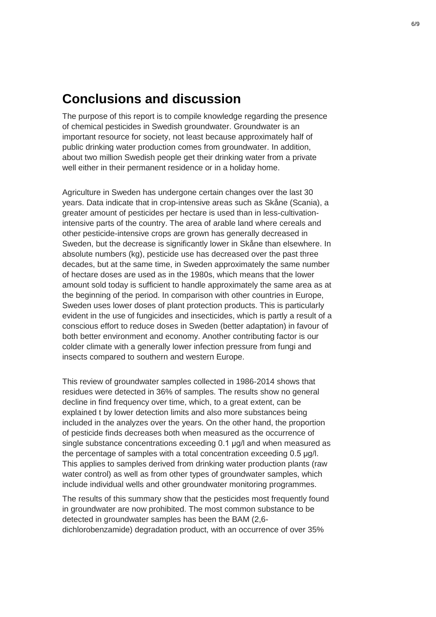## **Conclusions and discussion**

The purpose of this report is to compile knowledge regarding the presence of chemical pesticides in Swedish groundwater. Groundwater is an important resource for society, not least because approximately half of public drinking water production comes from groundwater. In addition, about two million Swedish people get their drinking water from a private well either in their permanent residence or in a holiday home.

Agriculture in Sweden has undergone certain changes over the last 30 years. Data indicate that in crop-intensive areas such as Skåne (Scania), a greater amount of pesticides per hectare is used than in less-cultivationintensive parts of the country. The area of arable land where cereals and other pesticide-intensive crops are grown has generally decreased in Sweden, but the decrease is significantly lower in Skåne than elsewhere. In absolute numbers (kg), pesticide use has decreased over the past three decades, but at the same time, in Sweden approximately the same number of hectare doses are used as in the 1980s, which means that the lower amount sold today is sufficient to handle approximately the same area as at the beginning of the period. In comparison with other countries in Europe, Sweden uses lower doses of plant protection products. This is particularly evident in the use of fungicides and insecticides, which is partly a result of a conscious effort to reduce doses in Sweden (better adaptation) in favour of both better environment and economy. Another contributing factor is our colder climate with a generally lower infection pressure from fungi and insects compared to southern and western Europe.

This review of groundwater samples collected in 1986-2014 shows that residues were detected in 36% of samples. The results show no general decline in find frequency over time, which, to a great extent, can be explained t by lower detection limits and also more substances being included in the analyzes over the years. On the other hand, the proportion of pesticide finds decreases both when measured as the occurrence of single substance concentrations exceeding 0.1 μg/l and when measured as the percentage of samples with a total concentration exceeding 0.5 μg/l. This applies to samples derived from drinking water production plants (raw water control) as well as from other types of groundwater samples, which include individual wells and other groundwater monitoring programmes.

The results of this summary show that the pesticides most frequently found in groundwater are now prohibited. The most common substance to be detected in groundwater samples has been the BAM (2,6 dichlorobenzamide) degradation product, with an occurrence of over 35%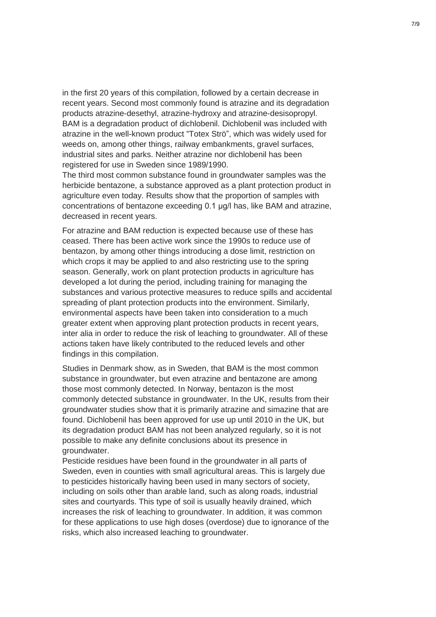in the first 20 years of this compilation, followed by a certain decrease in recent years. Second most commonly found is atrazine and its degradation products atrazine-desethyl, atrazine-hydroxy and atrazine-desisopropyl. BAM is a degradation product of dichlobenil. Dichlobenil was included with atrazine in the well-known product "Totex Strö", which was widely used for weeds on, among other things, railway embankments, gravel surfaces, industrial sites and parks. Neither atrazine nor dichlobenil has been registered for use in Sweden since 1989/1990.

The third most common substance found in groundwater samples was the herbicide bentazone, a substance approved as a plant protection product in agriculture even today. Results show that the proportion of samples with concentrations of bentazone exceeding 0.1 μg/l has, like BAM and atrazine, decreased in recent years.

For atrazine and BAM reduction is expected because use of these has ceased. There has been active work since the 1990s to reduce use of bentazon, by among other things introducing a dose limit, restriction on which crops it may be applied to and also restricting use to the spring season. Generally, work on plant protection products in agriculture has developed a lot during the period, including training for managing the substances and various protective measures to reduce spills and accidental spreading of plant protection products into the environment. Similarly, environmental aspects have been taken into consideration to a much greater extent when approving plant protection products in recent years, inter alia in order to reduce the risk of leaching to groundwater. All of these actions taken have likely contributed to the reduced levels and other findings in this compilation.

Studies in Denmark show, as in Sweden, that BAM is the most common substance in groundwater, but even atrazine and bentazone are among those most commonly detected. In Norway, bentazon is the most commonly detected substance in groundwater. In the UK, results from their groundwater studies show that it is primarily atrazine and simazine that are found. Dichlobenil has been approved for use up until 2010 in the UK, but its degradation product BAM has not been analyzed regularly, so it is not possible to make any definite conclusions about its presence in groundwater.

Pesticide residues have been found in the groundwater in all parts of Sweden, even in counties with small agricultural areas. This is largely due to pesticides historically having been used in many sectors of society, including on soils other than arable land, such as along roads, industrial sites and courtyards. This type of soil is usually heavily drained, which increases the risk of leaching to groundwater. In addition, it was common for these applications to use high doses (overdose) due to ignorance of the risks, which also increased leaching to groundwater.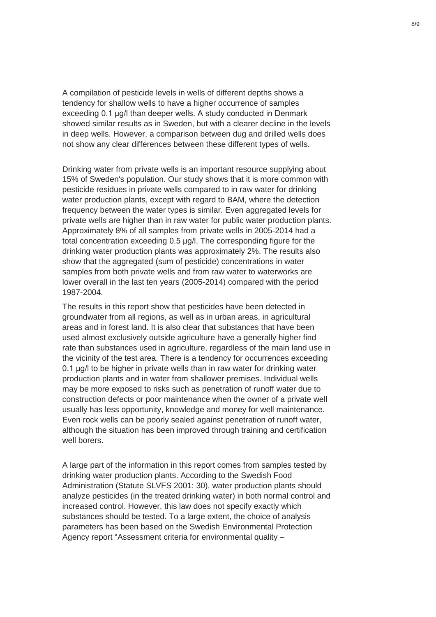A compilation of pesticide levels in wells of different depths shows a tendency for shallow wells to have a higher occurrence of samples exceeding 0.1 μg/l than deeper wells. A study conducted in Denmark showed similar results as in Sweden, but with a clearer decline in the levels in deep wells. However, a comparison between dug and drilled wells does not show any clear differences between these different types of wells.

Drinking water from private wells is an important resource supplying about 15% of Sweden's population. Our study shows that it is more common with pesticide residues in private wells compared to in raw water for drinking water production plants, except with regard to BAM, where the detection frequency between the water types is similar. Even aggregated levels for private wells are higher than in raw water for public water production plants. Approximately 8% of all samples from private wells in 2005-2014 had a total concentration exceeding 0.5 μg/l. The corresponding figure for the drinking water production plants was approximately 2%. The results also show that the aggregated (sum of pesticide) concentrations in water samples from both private wells and from raw water to waterworks are lower overall in the last ten years (2005-2014) compared with the period 1987-2004.

The results in this report show that pesticides have been detected in groundwater from all regions, as well as in urban areas, in agricultural areas and in forest land. It is also clear that substances that have been used almost exclusively outside agriculture have a generally higher find rate than substances used in agriculture, regardless of the main land use in the vicinity of the test area. There is a tendency for occurrences exceeding 0.1 μg/l to be higher in private wells than in raw water for drinking water production plants and in water from shallower premises. Individual wells may be more exposed to risks such as penetration of runoff water due to construction defects or poor maintenance when the owner of a private well usually has less opportunity, knowledge and money for well maintenance. Even rock wells can be poorly sealed against penetration of runoff water, although the situation has been improved through training and certification well borers.

A large part of the information in this report comes from samples tested by drinking water production plants. According to the Swedish Food Administration (Statute SLVFS 2001: 30), water production plants should analyze pesticides (in the treated drinking water) in both normal control and increased control. However, this law does not specify exactly which substances should be tested. To a large extent, the choice of analysis parameters has been based on the Swedish Environmental Protection Agency report "Assessment criteria for environmental quality –